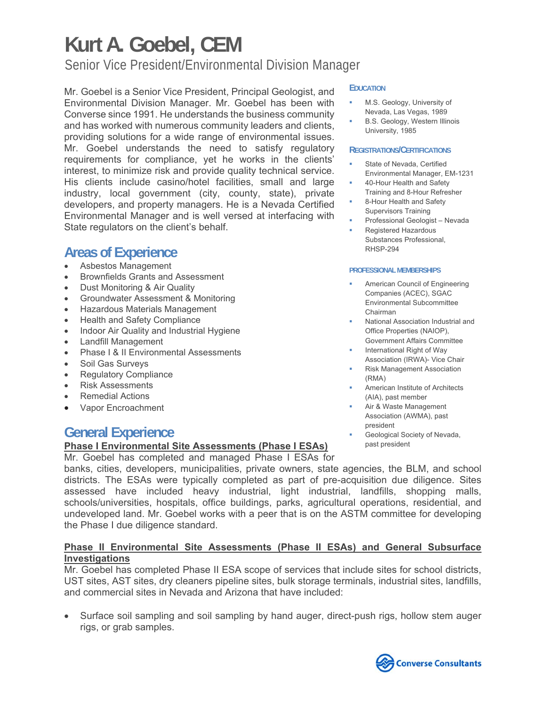Senior Vice President/Environmental Division Manager

Mr. Goebel is a Senior Vice President, Principal Geologist, and Environmental Division Manager. Mr. Goebel has been with Converse since 1991. He understands the business community and has worked with numerous community leaders and clients, providing solutions for a wide range of environmental issues. Mr. Goebel understands the need to satisfy regulatory requirements for compliance, yet he works in the clients' interest, to minimize risk and provide quality technical service. His clients include casino/hotel facilities, small and large industry, local government (city, county, state), private developers, and property managers. He is a Nevada Certified Environmental Manager and is well versed at interfacing with State regulators on the client's behalf.

### **Areas of Experience**

- Asbestos Management
- Brownfields Grants and Assessment
- Dust Monitoring & Air Quality
- Groundwater Assessment & Monitoring
- Hazardous Materials Management
- Health and Safety Compliance
- Indoor Air Quality and Industrial Hygiene
- Landfill Management
- Phase I & II Environmental Assessments
- Soil Gas Surveys
- Regulatory Compliance
- Risk Assessments
- Remedial Actions
- Vapor Encroachment

### **General Experience**

#### **Phase I Environmental Site Assessments (Phase I ESAs)**

Mr. Goebel has completed and managed Phase I ESAs for

#### banks, cities, developers, municipalities, private owners, state agencies, the BLM, and school districts. The ESAs were typically completed as part of pre-acquisition due diligence. Sites assessed have included heavy industrial, light industrial, landfills, shopping malls, schools/universities, hospitals, office buildings, parks, agricultural operations, residential, and undeveloped land. Mr. Goebel works with a peer that is on the ASTM committee for developing the Phase I due diligence standard.

#### **Phase II Environmental Site Assessments (Phase II ESAs) and General Subsurface Investigations**

Mr. Goebel has completed Phase II ESA scope of services that include sites for school districts, UST sites, AST sites, dry cleaners pipeline sites, bulk storage terminals, industrial sites, landfills, and commercial sites in Nevada and Arizona that have included:

 Surface soil sampling and soil sampling by hand auger, direct-push rigs, hollow stem auger rigs, or grab samples.

#### **EDUCATION**

- M.S. Geology, University of Nevada, Las Vegas, 1989
- B.S. Geology, Western Illinois University, 1985

#### **REGISTRATIONS/CERTIFICATIONS**

- State of Nevada, Certified Environmental Manager, EM-1231
- 40-Hour Health and Safety Training and 8-Hour Refresher
- 8-Hour Health and Safety Supervisors Training
- Professional Geologist Nevada
- Registered Hazardous Substances Professional, RHSP-294

#### **PROFESSIONAL MEMBERSHIPS**

- American Council of Engineering Companies (ACEC), SGAC Environmental Subcommittee Chairman
- National Association Industrial and Office Properties (NAIOP), Government Affairs Committee
- International Right of Way Association (IRWA)- Vice Chair
- Risk Management Association (RMA)
- American Institute of Architects (AIA), past member
- Air & Waste Management Association (AWMA), past president
- Geological Society of Nevada, past president

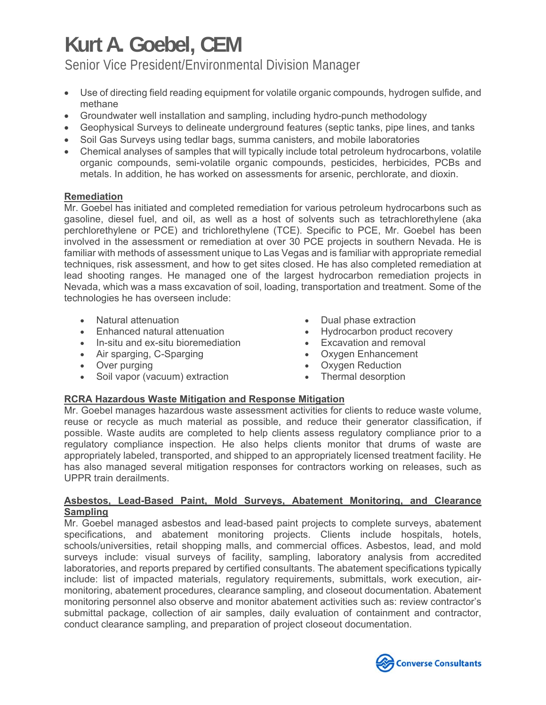Senior Vice President/Environmental Division Manager

- Use of directing field reading equipment for volatile organic compounds, hydrogen sulfide, and methane
- Groundwater well installation and sampling, including hydro-punch methodology
- Geophysical Surveys to delineate underground features (septic tanks, pipe lines, and tanks
- Soil Gas Surveys using tedlar bags, summa canisters, and mobile laboratories
- Chemical analyses of samples that will typically include total petroleum hydrocarbons, volatile organic compounds, semi-volatile organic compounds, pesticides, herbicides, PCBs and metals. In addition, he has worked on assessments for arsenic, perchlorate, and dioxin.

### **Remediation**

Mr. Goebel has initiated and completed remediation for various petroleum hydrocarbons such as gasoline, diesel fuel, and oil, as well as a host of solvents such as tetrachlorethylene (aka perchlorethylene or PCE) and trichlorethylene (TCE). Specific to PCE, Mr. Goebel has been involved in the assessment or remediation at over 30 PCE projects in southern Nevada. He is familiar with methods of assessment unique to Las Vegas and is familiar with appropriate remedial techniques, risk assessment, and how to get sites closed. He has also completed remediation at lead shooting ranges. He managed one of the largest hydrocarbon remediation projects in Nevada, which was a mass excavation of soil, loading, transportation and treatment. Some of the technologies he has overseen include:

- Natural attenuation
- Enhanced natural attenuation
- In-situ and ex-situ bioremediation
- Air sparging, C-Sparging
- Over purging
- Soil vapor (vacuum) extraction
- Dual phase extraction
- Hydrocarbon product recovery
- Excavation and removal
- Oxygen Enhancement
- Oxygen Reduction
- Thermal desorption

### **RCRA Hazardous Waste Mitigation and Response Mitigation**

Mr. Goebel manages hazardous waste assessment activities for clients to reduce waste volume, reuse or recycle as much material as possible, and reduce their generator classification, if possible. Waste audits are completed to help clients assess regulatory compliance prior to a regulatory compliance inspection. He also helps clients monitor that drums of waste are appropriately labeled, transported, and shipped to an appropriately licensed treatment facility. He has also managed several mitigation responses for contractors working on releases, such as UPPR train derailments.

#### **Asbestos, Lead-Based Paint, Mold Surveys, Abatement Monitoring, and Clearance Sampling**

Mr. Goebel managed asbestos and lead-based paint projects to complete surveys, abatement specifications, and abatement monitoring projects. Clients include hospitals, hotels, schools/universities, retail shopping malls, and commercial offices. Asbestos, lead, and mold surveys include: visual surveys of facility, sampling, laboratory analysis from accredited laboratories, and reports prepared by certified consultants. The abatement specifications typically include: list of impacted materials, regulatory requirements, submittals, work execution, airmonitoring, abatement procedures, clearance sampling, and closeout documentation. Abatement monitoring personnel also observe and monitor abatement activities such as: review contractor's submittal package, collection of air samples, daily evaluation of containment and contractor, conduct clearance sampling, and preparation of project closeout documentation.

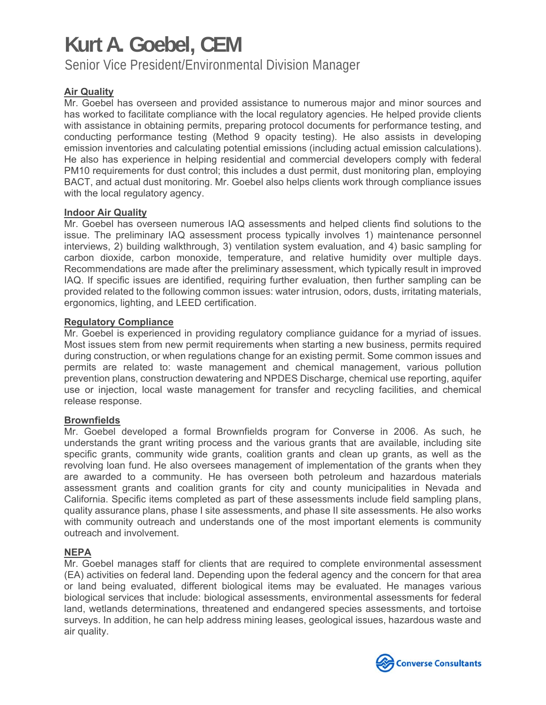Senior Vice President/Environmental Division Manager

### **Air Quality**

Mr. Goebel has overseen and provided assistance to numerous major and minor sources and has worked to facilitate compliance with the local regulatory agencies. He helped provide clients with assistance in obtaining permits, preparing protocol documents for performance testing, and conducting performance testing (Method 9 opacity testing). He also assists in developing emission inventories and calculating potential emissions (including actual emission calculations). He also has experience in helping residential and commercial developers comply with federal PM10 requirements for dust control; this includes a dust permit, dust monitoring plan, employing BACT, and actual dust monitoring. Mr. Goebel also helps clients work through compliance issues with the local regulatory agency.

#### **Indoor Air Quality**

Mr. Goebel has overseen numerous IAQ assessments and helped clients find solutions to the issue. The preliminary IAQ assessment process typically involves 1) maintenance personnel interviews, 2) building walkthrough, 3) ventilation system evaluation, and 4) basic sampling for carbon dioxide, carbon monoxide, temperature, and relative humidity over multiple days. Recommendations are made after the preliminary assessment, which typically result in improved IAQ. If specific issues are identified, requiring further evaluation, then further sampling can be provided related to the following common issues: water intrusion, odors, dusts, irritating materials, ergonomics, lighting, and LEED certification.

#### **Regulatory Compliance**

Mr. Goebel is experienced in providing regulatory compliance guidance for a myriad of issues. Most issues stem from new permit requirements when starting a new business, permits required during construction, or when regulations change for an existing permit. Some common issues and permits are related to: waste management and chemical management, various pollution prevention plans, construction dewatering and NPDES Discharge, chemical use reporting, aquifer use or injection, local waste management for transfer and recycling facilities, and chemical release response.

#### **Brownfields**

Mr. Goebel developed a formal Brownfields program for Converse in 2006. As such, he understands the grant writing process and the various grants that are available, including site specific grants, community wide grants, coalition grants and clean up grants, as well as the revolving loan fund. He also oversees management of implementation of the grants when they are awarded to a community. He has overseen both petroleum and hazardous materials assessment grants and coalition grants for city and county municipalities in Nevada and California. Specific items completed as part of these assessments include field sampling plans, quality assurance plans, phase I site assessments, and phase II site assessments. He also works with community outreach and understands one of the most important elements is community outreach and involvement.

### **NEPA**

Mr. Goebel manages staff for clients that are required to complete environmental assessment (EA) activities on federal land. Depending upon the federal agency and the concern for that area or land being evaluated, different biological items may be evaluated. He manages various biological services that include: biological assessments, environmental assessments for federal land, wetlands determinations, threatened and endangered species assessments, and tortoise surveys. In addition, he can help address mining leases, geological issues, hazardous waste and air quality.

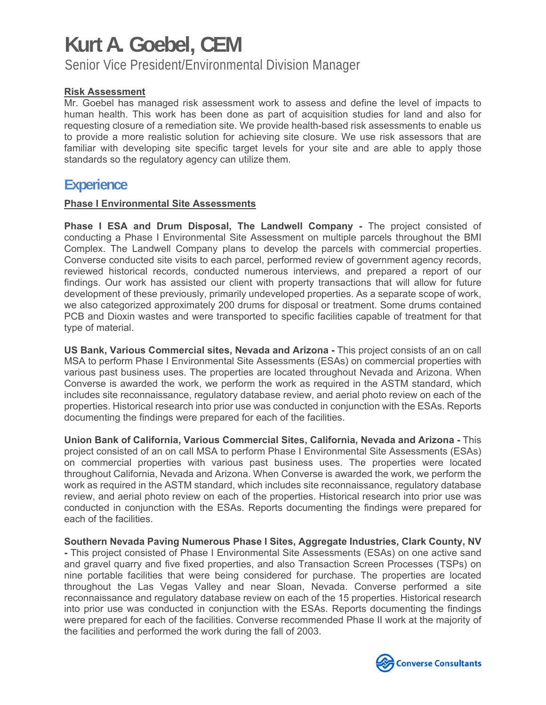Senior Vice President/Environmental Division Manager

### **Risk Assessment**

Mr. Goebel has managed risk assessment work to assess and define the level of impacts to human health. This work has been done as part of acquisition studies for land and also for requesting closure of a remediation site. We provide health-based risk assessments to enable us to provide a more realistic solution for achieving site closure. We use risk assessors that are familiar with developing site specific target levels for your site and are able to apply those standards so the regulatory agency can utilize them.

### **Experience**

#### **Phase I Environmental Site Assessments**

**Phase I ESA and Drum Disposal, The Landwell Company -** The project consisted of conducting a Phase I Environmental Site Assessment on multiple parcels throughout the BMI Complex. The Landwell Company plans to develop the parcels with commercial properties. Converse conducted site visits to each parcel, performed review of government agency records, reviewed historical records, conducted numerous interviews, and prepared a report of our findings. Our work has assisted our client with property transactions that will allow for future development of these previously, primarily undeveloped properties. As a separate scope of work, we also categorized approximately 200 drums for disposal or treatment. Some drums contained PCB and Dioxin wastes and were transported to specific facilities capable of treatment for that type of material.

**US Bank, Various Commercial sites, Nevada and Arizona -** This project consists of an on call MSA to perform Phase I Environmental Site Assessments (ESAs) on commercial properties with various past business uses. The properties are located throughout Nevada and Arizona. When Converse is awarded the work, we perform the work as required in the ASTM standard, which includes site reconnaissance, regulatory database review, and aerial photo review on each of the properties. Historical research into prior use was conducted in conjunction with the ESAs. Reports documenting the findings were prepared for each of the facilities.

**Union Bank of California, Various Commercial Sites, California, Nevada and Arizona -** This project consisted of an on call MSA to perform Phase I Environmental Site Assessments (ESAs) on commercial properties with various past business uses. The properties were located throughout California, Nevada and Arizona. When Converse is awarded the work, we perform the work as required in the ASTM standard, which includes site reconnaissance, regulatory database review, and aerial photo review on each of the properties. Historical research into prior use was conducted in conjunction with the ESAs. Reports documenting the findings were prepared for each of the facilities.

**Southern Nevada Paving Numerous Phase I Sites, Aggregate Industries, Clark County, NV -** This project consisted of Phase I Environmental Site Assessments (ESAs) on one active sand and gravel quarry and five fixed properties, and also Transaction Screen Processes (TSPs) on nine portable facilities that were being considered for purchase. The properties are located throughout the Las Vegas Valley and near Sloan, Nevada. Converse performed a site reconnaissance and regulatory database review on each of the 15 properties. Historical research into prior use was conducted in conjunction with the ESAs. Reports documenting the findings were prepared for each of the facilities. Converse recommended Phase II work at the majority of the facilities and performed the work during the fall of 2003.

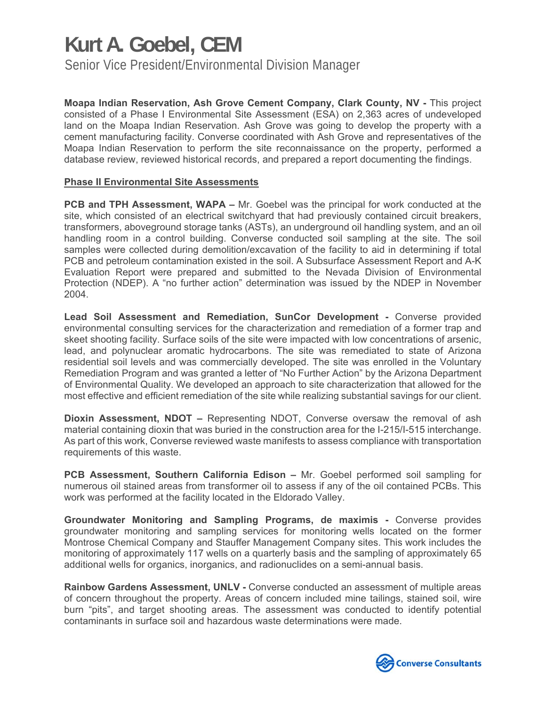Senior Vice President/Environmental Division Manager

**Moapa Indian Reservation, Ash Grove Cement Company, Clark County, NV -** This project consisted of a Phase I Environmental Site Assessment (ESA) on 2,363 acres of undeveloped land on the Moapa Indian Reservation. Ash Grove was going to develop the property with a cement manufacturing facility. Converse coordinated with Ash Grove and representatives of the Moapa Indian Reservation to perform the site reconnaissance on the property, performed a database review, reviewed historical records, and prepared a report documenting the findings.

#### **Phase II Environmental Site Assessments**

**PCB and TPH Assessment, WAPA –** Mr. Goebel was the principal for work conducted at the site, which consisted of an electrical switchyard that had previously contained circuit breakers, transformers, aboveground storage tanks (ASTs), an underground oil handling system, and an oil handling room in a control building. Converse conducted soil sampling at the site. The soil samples were collected during demolition/excavation of the facility to aid in determining if total PCB and petroleum contamination existed in the soil. A Subsurface Assessment Report and A-K Evaluation Report were prepared and submitted to the Nevada Division of Environmental Protection (NDEP). A "no further action" determination was issued by the NDEP in November 2004.

**Lead Soil Assessment and Remediation, SunCor Development -** Converse provided environmental consulting services for the characterization and remediation of a former trap and skeet shooting facility. Surface soils of the site were impacted with low concentrations of arsenic, lead, and polynuclear aromatic hydrocarbons. The site was remediated to state of Arizona residential soil levels and was commercially developed. The site was enrolled in the Voluntary Remediation Program and was granted a letter of "No Further Action" by the Arizona Department of Environmental Quality. We developed an approach to site characterization that allowed for the most effective and efficient remediation of the site while realizing substantial savings for our client.

**Dioxin Assessment, NDOT –** Representing NDOT, Converse oversaw the removal of ash material containing dioxin that was buried in the construction area for the I-215/I-515 interchange. As part of this work, Converse reviewed waste manifests to assess compliance with transportation requirements of this waste.

**PCB Assessment, Southern California Edison –** Mr. Goebel performed soil sampling for numerous oil stained areas from transformer oil to assess if any of the oil contained PCBs. This work was performed at the facility located in the Eldorado Valley.

**Groundwater Monitoring and Sampling Programs, de maximis -** Converse provides groundwater monitoring and sampling services for monitoring wells located on the former Montrose Chemical Company and Stauffer Management Company sites. This work includes the monitoring of approximately 117 wells on a quarterly basis and the sampling of approximately 65 additional wells for organics, inorganics, and radionuclides on a semi-annual basis.

**Rainbow Gardens Assessment, UNLV -** Converse conducted an assessment of multiple areas of concern throughout the property. Areas of concern included mine tailings, stained soil, wire burn "pits", and target shooting areas. The assessment was conducted to identify potential contaminants in surface soil and hazardous waste determinations were made.

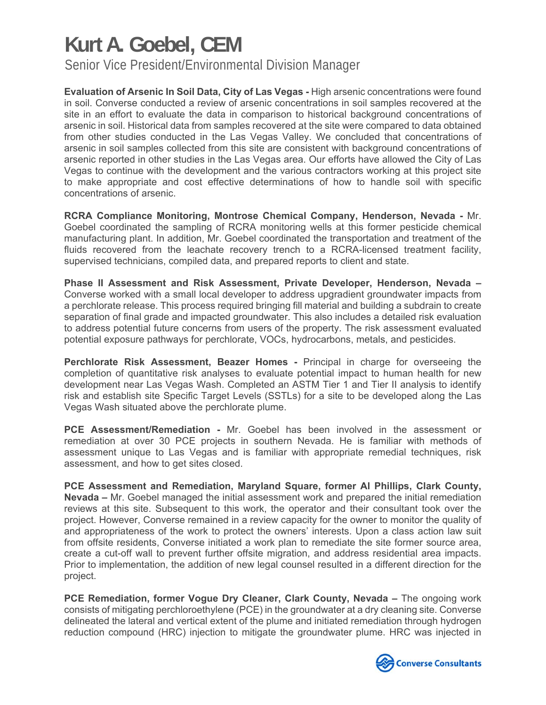Senior Vice President/Environmental Division Manager

**Evaluation of Arsenic In Soil Data, City of Las Vegas -** High arsenic concentrations were found in soil. Converse conducted a review of arsenic concentrations in soil samples recovered at the site in an effort to evaluate the data in comparison to historical background concentrations of arsenic in soil. Historical data from samples recovered at the site were compared to data obtained from other studies conducted in the Las Vegas Valley. We concluded that concentrations of arsenic in soil samples collected from this site are consistent with background concentrations of arsenic reported in other studies in the Las Vegas area. Our efforts have allowed the City of Las Vegas to continue with the development and the various contractors working at this project site to make appropriate and cost effective determinations of how to handle soil with specific concentrations of arsenic.

**RCRA Compliance Monitoring, Montrose Chemical Company, Henderson, Nevada -** Mr. Goebel coordinated the sampling of RCRA monitoring wells at this former pesticide chemical manufacturing plant. In addition, Mr. Goebel coordinated the transportation and treatment of the fluids recovered from the leachate recovery trench to a RCRA-licensed treatment facility, supervised technicians, compiled data, and prepared reports to client and state.

**Phase II Assessment and Risk Assessment, Private Developer, Henderson, Nevada –**  Converse worked with a small local developer to address upgradient groundwater impacts from a perchlorate release. This process required bringing fill material and building a subdrain to create separation of final grade and impacted groundwater. This also includes a detailed risk evaluation to address potential future concerns from users of the property. The risk assessment evaluated potential exposure pathways for perchlorate, VOCs, hydrocarbons, metals, and pesticides.

**Perchlorate Risk Assessment, Beazer Homes -** Principal in charge for overseeing the completion of quantitative risk analyses to evaluate potential impact to human health for new development near Las Vegas Wash. Completed an ASTM Tier 1 and Tier II analysis to identify risk and establish site Specific Target Levels (SSTLs) for a site to be developed along the Las Vegas Wash situated above the perchlorate plume.

**PCE Assessment/Remediation -** Mr. Goebel has been involved in the assessment or remediation at over 30 PCE projects in southern Nevada. He is familiar with methods of assessment unique to Las Vegas and is familiar with appropriate remedial techniques, risk assessment, and how to get sites closed.

**PCE Assessment and Remediation, Maryland Square, former Al Phillips, Clark County, Nevada –** Mr. Goebel managed the initial assessment work and prepared the initial remediation reviews at this site. Subsequent to this work, the operator and their consultant took over the project. However, Converse remained in a review capacity for the owner to monitor the quality of and appropriateness of the work to protect the owners' interests. Upon a class action law suit from offsite residents, Converse initiated a work plan to remediate the site former source area, create a cut-off wall to prevent further offsite migration, and address residential area impacts. Prior to implementation, the addition of new legal counsel resulted in a different direction for the project.

**PCE Remediation, former Vogue Dry Cleaner, Clark County, Nevada –** The ongoing work consists of mitigating perchloroethylene (PCE) in the groundwater at a dry cleaning site. Converse delineated the lateral and vertical extent of the plume and initiated remediation through hydrogen reduction compound (HRC) injection to mitigate the groundwater plume. HRC was injected in

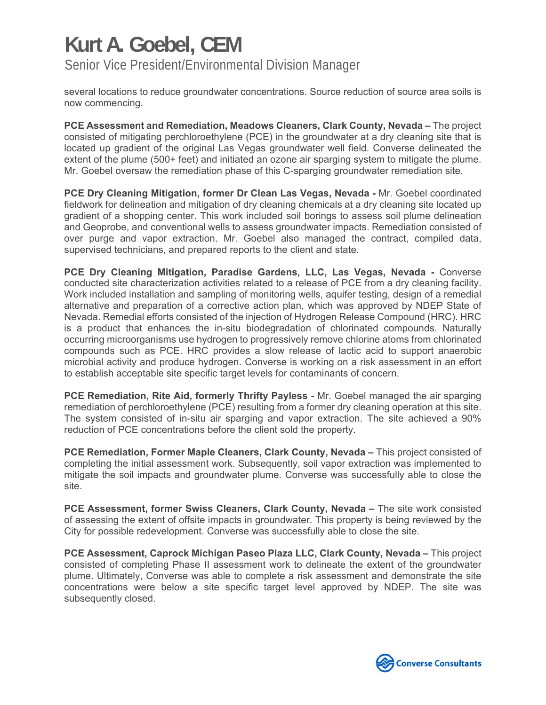Senior Vice President/Environmental Division Manager

several locations to reduce groundwater concentrations. Source reduction of source area soils is now commencing.

**PCE Assessment and Remediation, Meadows Cleaners, Clark County, Nevada –** The project consisted of mitigating perchloroethylene (PCE) in the groundwater at a dry cleaning site that is located up gradient of the original Las Vegas groundwater well field. Converse delineated the extent of the plume (500+ feet) and initiated an ozone air sparging system to mitigate the plume. Mr. Goebel oversaw the remediation phase of this C-sparging groundwater remediation site.

**PCE Dry Cleaning Mitigation, former Dr Clean Las Vegas, Nevada -** Mr. Goebel coordinated fieldwork for delineation and mitigation of dry cleaning chemicals at a dry cleaning site located up gradient of a shopping center. This work included soil borings to assess soil plume delineation and Geoprobe, and conventional wells to assess groundwater impacts. Remediation consisted of over purge and vapor extraction. Mr. Goebel also managed the contract, compiled data, supervised technicians, and prepared reports to the client and state.

**PCE Dry Cleaning Mitigation, Paradise Gardens, LLC, Las Vegas, Nevada -** Converse conducted site characterization activities related to a release of PCE from a dry cleaning facility. Work included installation and sampling of monitoring wells, aquifer testing, design of a remedial alternative and preparation of a corrective action plan, which was approved by NDEP State of Nevada. Remedial efforts consisted of the injection of Hydrogen Release Compound (HRC). HRC is a product that enhances the in-situ biodegradation of chlorinated compounds. Naturally occurring microorganisms use hydrogen to progressively remove chlorine atoms from chlorinated compounds such as PCE. HRC provides a slow release of lactic acid to support anaerobic microbial activity and produce hydrogen. Converse is working on a risk assessment in an effort to establish acceptable site specific target levels for contaminants of concern.

**PCE Remediation, Rite Aid, formerly Thrifty Payless -** Mr. Goebel managed the air sparging remediation of perchloroethylene (PCE) resulting from a former dry cleaning operation at this site. The system consisted of in-situ air sparging and vapor extraction. The site achieved a 90% reduction of PCE concentrations before the client sold the property.

**PCE Remediation, Former Maple Cleaners, Clark County, Nevada – This project consisted of** completing the initial assessment work. Subsequently, soil vapor extraction was implemented to mitigate the soil impacts and groundwater plume. Converse was successfully able to close the site.

**PCE Assessment, former Swiss Cleaners, Clark County, Nevada – The site work consisted** of assessing the extent of offsite impacts in groundwater. This property is being reviewed by the City for possible redevelopment. Converse was successfully able to close the site.

**PCE Assessment, Caprock Michigan Paseo Plaza LLC, Clark County, Nevada - This project** consisted of completing Phase II assessment work to delineate the extent of the groundwater plume. Ultimately, Converse was able to complete a risk assessment and demonstrate the site concentrations were below a site specific target level approved by NDEP. The site was subsequently closed.

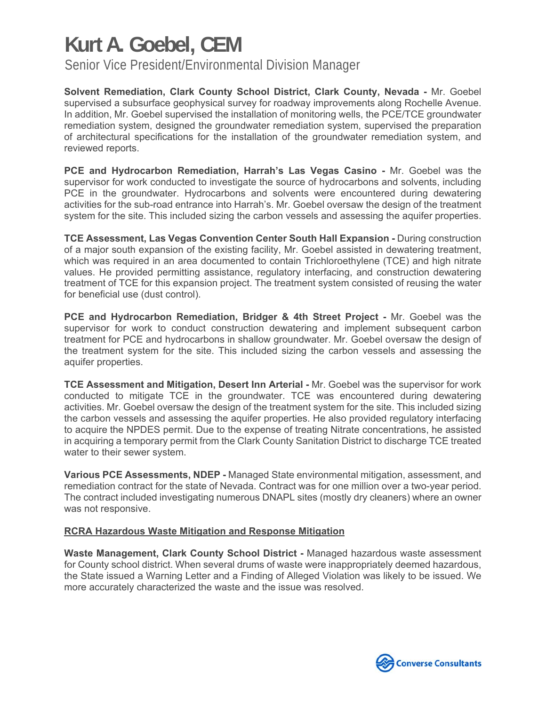Senior Vice President/Environmental Division Manager

**Solvent Remediation, Clark County School District, Clark County, Nevada -** Mr. Goebel supervised a subsurface geophysical survey for roadway improvements along Rochelle Avenue. In addition, Mr. Goebel supervised the installation of monitoring wells, the PCE/TCE groundwater remediation system, designed the groundwater remediation system, supervised the preparation of architectural specifications for the installation of the groundwater remediation system, and reviewed reports.

**PCE and Hydrocarbon Remediation, Harrah's Las Vegas Casino -** Mr. Goebel was the supervisor for work conducted to investigate the source of hydrocarbons and solvents, including PCE in the groundwater. Hydrocarbons and solvents were encountered during dewatering activities for the sub-road entrance into Harrah's. Mr. Goebel oversaw the design of the treatment system for the site. This included sizing the carbon vessels and assessing the aquifer properties.

**TCE Assessment, Las Vegas Convention Center South Hall Expansion -** During construction of a major south expansion of the existing facility, Mr. Goebel assisted in dewatering treatment, which was required in an area documented to contain Trichloroethylene (TCE) and high nitrate values. He provided permitting assistance, regulatory interfacing, and construction dewatering treatment of TCE for this expansion project. The treatment system consisted of reusing the water for beneficial use (dust control).

**PCE and Hydrocarbon Remediation, Bridger & 4th Street Project -** Mr. Goebel was the supervisor for work to conduct construction dewatering and implement subsequent carbon treatment for PCE and hydrocarbons in shallow groundwater. Mr. Goebel oversaw the design of the treatment system for the site. This included sizing the carbon vessels and assessing the aquifer properties.

**TCE Assessment and Mitigation, Desert Inn Arterial -** Mr. Goebel was the supervisor for work conducted to mitigate TCE in the groundwater. TCE was encountered during dewatering activities. Mr. Goebel oversaw the design of the treatment system for the site. This included sizing the carbon vessels and assessing the aquifer properties. He also provided regulatory interfacing to acquire the NPDES permit. Due to the expense of treating Nitrate concentrations, he assisted in acquiring a temporary permit from the Clark County Sanitation District to discharge TCE treated water to their sewer system.

**Various PCE Assessments, NDEP -** Managed State environmental mitigation, assessment, and remediation contract for the state of Nevada. Contract was for one million over a two-year period. The contract included investigating numerous DNAPL sites (mostly dry cleaners) where an owner was not responsive.

### **RCRA Hazardous Waste Mitigation and Response Mitigation**

**Waste Management, Clark County School District -** Managed hazardous waste assessment for County school district. When several drums of waste were inappropriately deemed hazardous, the State issued a Warning Letter and a Finding of Alleged Violation was likely to be issued. We more accurately characterized the waste and the issue was resolved.

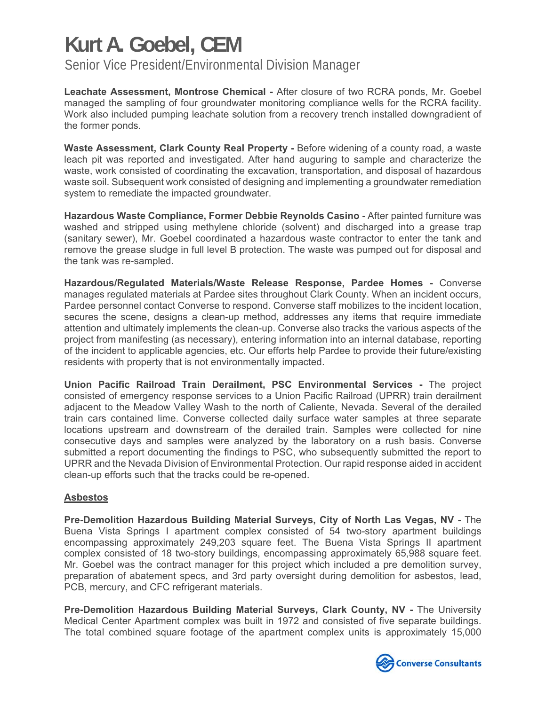Senior Vice President/Environmental Division Manager

**Leachate Assessment, Montrose Chemical -** After closure of two RCRA ponds, Mr. Goebel managed the sampling of four groundwater monitoring compliance wells for the RCRA facility. Work also included pumping leachate solution from a recovery trench installed downgradient of the former ponds.

**Waste Assessment, Clark County Real Property -** Before widening of a county road, a waste leach pit was reported and investigated. After hand auguring to sample and characterize the waste, work consisted of coordinating the excavation, transportation, and disposal of hazardous waste soil. Subsequent work consisted of designing and implementing a groundwater remediation system to remediate the impacted groundwater.

**Hazardous Waste Compliance, Former Debbie Reynolds Casino -** After painted furniture was washed and stripped using methylene chloride (solvent) and discharged into a grease trap (sanitary sewer), Mr. Goebel coordinated a hazardous waste contractor to enter the tank and remove the grease sludge in full level B protection. The waste was pumped out for disposal and the tank was re-sampled.

**Hazardous/Regulated Materials/Waste Release Response, Pardee Homes -** Converse manages regulated materials at Pardee sites throughout Clark County. When an incident occurs, Pardee personnel contact Converse to respond. Converse staff mobilizes to the incident location, secures the scene, designs a clean-up method, addresses any items that require immediate attention and ultimately implements the clean-up. Converse also tracks the various aspects of the project from manifesting (as necessary), entering information into an internal database, reporting of the incident to applicable agencies, etc. Our efforts help Pardee to provide their future/existing residents with property that is not environmentally impacted.

**Union Pacific Railroad Train Derailment, PSC Environmental Services -** The project consisted of emergency response services to a Union Pacific Railroad (UPRR) train derailment adjacent to the Meadow Valley Wash to the north of Caliente, Nevada. Several of the derailed train cars contained lime. Converse collected daily surface water samples at three separate locations upstream and downstream of the derailed train. Samples were collected for nine consecutive days and samples were analyzed by the laboratory on a rush basis. Converse submitted a report documenting the findings to PSC, who subsequently submitted the report to UPRR and the Nevada Division of Environmental Protection. Our rapid response aided in accident clean-up efforts such that the tracks could be re-opened.

### **Asbestos**

**Pre-Demolition Hazardous Building Material Surveys, City of North Las Vegas, NV -** The Buena Vista Springs I apartment complex consisted of 54 two-story apartment buildings encompassing approximately 249,203 square feet. The Buena Vista Springs II apartment complex consisted of 18 two-story buildings, encompassing approximately 65,988 square feet. Mr. Goebel was the contract manager for this project which included a pre demolition survey, preparation of abatement specs, and 3rd party oversight during demolition for asbestos, lead, PCB, mercury, and CFC refrigerant materials.

**Pre-Demolition Hazardous Building Material Surveys, Clark County, NV -** The University Medical Center Apartment complex was built in 1972 and consisted of five separate buildings. The total combined square footage of the apartment complex units is approximately 15,000

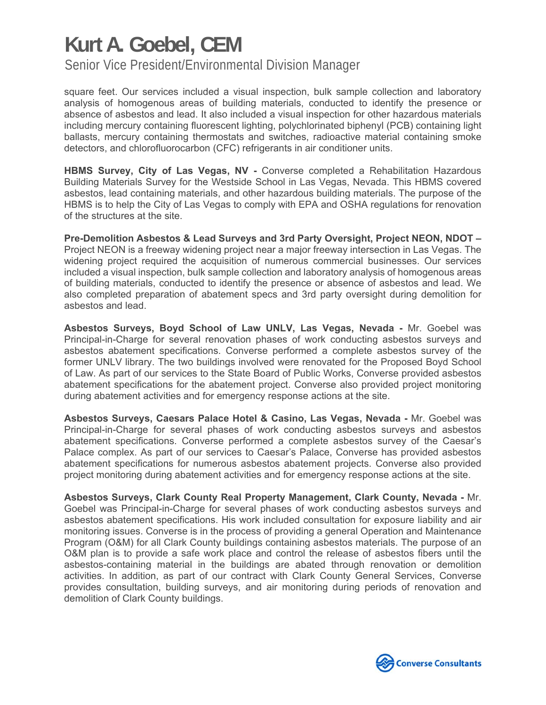Senior Vice President/Environmental Division Manager

square feet. Our services included a visual inspection, bulk sample collection and laboratory analysis of homogenous areas of building materials, conducted to identify the presence or absence of asbestos and lead. It also included a visual inspection for other hazardous materials including mercury containing fluorescent lighting, polychlorinated biphenyl (PCB) containing light ballasts, mercury containing thermostats and switches, radioactive material containing smoke detectors, and chlorofluorocarbon (CFC) refrigerants in air conditioner units.

**HBMS Survey, City of Las Vegas, NV -** Converse completed a Rehabilitation Hazardous Building Materials Survey for the Westside School in Las Vegas, Nevada. This HBMS covered asbestos, lead containing materials, and other hazardous building materials. The purpose of the HBMS is to help the City of Las Vegas to comply with EPA and OSHA regulations for renovation of the structures at the site.

**Pre-Demolition Asbestos & Lead Surveys and 3rd Party Oversight, Project NEON, NDOT –**  Project NEON is a freeway widening project near a major freeway intersection in Las Vegas. The widening project required the acquisition of numerous commercial businesses. Our services included a visual inspection, bulk sample collection and laboratory analysis of homogenous areas of building materials, conducted to identify the presence or absence of asbestos and lead. We also completed preparation of abatement specs and 3rd party oversight during demolition for asbestos and lead.

**Asbestos Surveys, Boyd School of Law UNLV, Las Vegas, Nevada -** Mr. Goebel was Principal-in-Charge for several renovation phases of work conducting asbestos surveys and asbestos abatement specifications. Converse performed a complete asbestos survey of the former UNLV library. The two buildings involved were renovated for the Proposed Boyd School of Law. As part of our services to the State Board of Public Works, Converse provided asbestos abatement specifications for the abatement project. Converse also provided project monitoring during abatement activities and for emergency response actions at the site.

**Asbestos Surveys, Caesars Palace Hotel & Casino, Las Vegas, Nevada -** Mr. Goebel was Principal-in-Charge for several phases of work conducting asbestos surveys and asbestos abatement specifications. Converse performed a complete asbestos survey of the Caesar's Palace complex. As part of our services to Caesar's Palace, Converse has provided asbestos abatement specifications for numerous asbestos abatement projects. Converse also provided project monitoring during abatement activities and for emergency response actions at the site.

**Asbestos Surveys, Clark County Real Property Management, Clark County, Nevada -** Mr. Goebel was Principal-in-Charge for several phases of work conducting asbestos surveys and asbestos abatement specifications. His work included consultation for exposure liability and air monitoring issues. Converse is in the process of providing a general Operation and Maintenance Program (O&M) for all Clark County buildings containing asbestos materials. The purpose of an O&M plan is to provide a safe work place and control the release of asbestos fibers until the asbestos-containing material in the buildings are abated through renovation or demolition activities. In addition, as part of our contract with Clark County General Services, Converse provides consultation, building surveys, and air monitoring during periods of renovation and demolition of Clark County buildings.

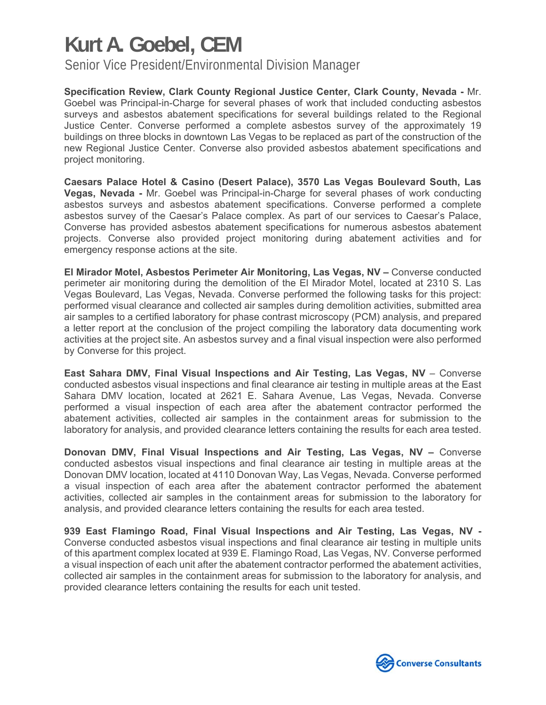Senior Vice President/Environmental Division Manager

**Specification Review, Clark County Regional Justice Center, Clark County, Nevada -** Mr. Goebel was Principal-in-Charge for several phases of work that included conducting asbestos surveys and asbestos abatement specifications for several buildings related to the Regional Justice Center. Converse performed a complete asbestos survey of the approximately 19 buildings on three blocks in downtown Las Vegas to be replaced as part of the construction of the new Regional Justice Center. Converse also provided asbestos abatement specifications and project monitoring.

**Caesars Palace Hotel & Casino (Desert Palace), 3570 Las Vegas Boulevard South, Las Vegas, Nevada -** Mr. Goebel was Principal-in-Charge for several phases of work conducting asbestos surveys and asbestos abatement specifications. Converse performed a complete asbestos survey of the Caesar's Palace complex. As part of our services to Caesar's Palace, Converse has provided asbestos abatement specifications for numerous asbestos abatement projects. Converse also provided project monitoring during abatement activities and for emergency response actions at the site.

**El Mirador Motel, Asbestos Perimeter Air Monitoring, Las Vegas, NV –** Converse conducted perimeter air monitoring during the demolition of the El Mirador Motel, located at 2310 S. Las Vegas Boulevard, Las Vegas, Nevada. Converse performed the following tasks for this project: performed visual clearance and collected air samples during demolition activities, submitted area air samples to a certified laboratory for phase contrast microscopy (PCM) analysis, and prepared a letter report at the conclusion of the project compiling the laboratory data documenting work activities at the project site. An asbestos survey and a final visual inspection were also performed by Converse for this project.

**East Sahara DMV, Final Visual Inspections and Air Testing, Las Vegas, NV** – Converse conducted asbestos visual inspections and final clearance air testing in multiple areas at the East Sahara DMV location, located at 2621 E. Sahara Avenue, Las Vegas, Nevada. Converse performed a visual inspection of each area after the abatement contractor performed the abatement activities, collected air samples in the containment areas for submission to the laboratory for analysis, and provided clearance letters containing the results for each area tested.

**Donovan DMV, Final Visual Inspections and Air Testing, Las Vegas, NV –** Converse conducted asbestos visual inspections and final clearance air testing in multiple areas at the Donovan DMV location, located at 4110 Donovan Way, Las Vegas, Nevada. Converse performed a visual inspection of each area after the abatement contractor performed the abatement activities, collected air samples in the containment areas for submission to the laboratory for analysis, and provided clearance letters containing the results for each area tested.

**939 East Flamingo Road, Final Visual Inspections and Air Testing, Las Vegas, NV -**  Converse conducted asbestos visual inspections and final clearance air testing in multiple units of this apartment complex located at 939 E. Flamingo Road, Las Vegas, NV. Converse performed a visual inspection of each unit after the abatement contractor performed the abatement activities, collected air samples in the containment areas for submission to the laboratory for analysis, and provided clearance letters containing the results for each unit tested.

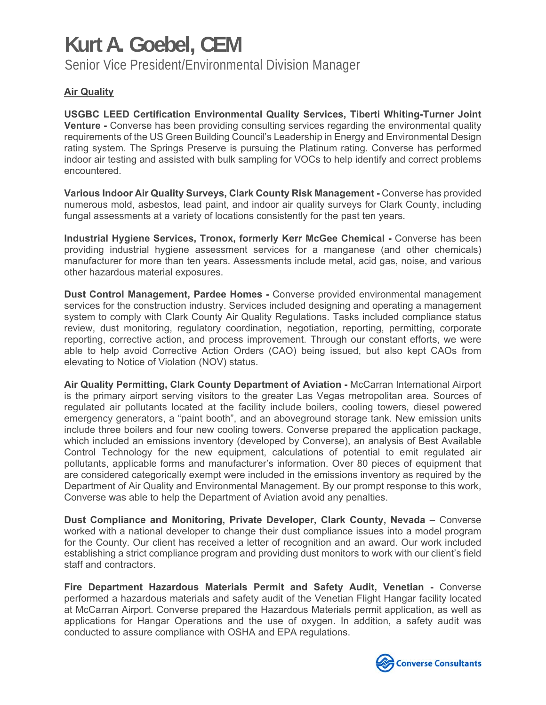Senior Vice President/Environmental Division Manager

### **Air Quality**

**USGBC LEED Certification Environmental Quality Services, Tiberti Whiting-Turner Joint Venture** - Converse has been providing consulting services regarding the environmental quality requirements of the US Green Building Council's Leadership in Energy and Environmental Design rating system. The Springs Preserve is pursuing the Platinum rating. Converse has performed indoor air testing and assisted with bulk sampling for VOCs to help identify and correct problems encountered.

**Various Indoor Air Quality Surveys, Clark County Risk Management -** Converse has provided numerous mold, asbestos, lead paint, and indoor air quality surveys for Clark County, including fungal assessments at a variety of locations consistently for the past ten years.

**Industrial Hygiene Services, Tronox, formerly Kerr McGee Chemical -** Converse has been providing industrial hygiene assessment services for a manganese (and other chemicals) manufacturer for more than ten years. Assessments include metal, acid gas, noise, and various other hazardous material exposures.

**Dust Control Management, Pardee Homes -** Converse provided environmental management services for the construction industry. Services included designing and operating a management system to comply with Clark County Air Quality Regulations. Tasks included compliance status review, dust monitoring, regulatory coordination, negotiation, reporting, permitting, corporate reporting, corrective action, and process improvement. Through our constant efforts, we were able to help avoid Corrective Action Orders (CAO) being issued, but also kept CAOs from elevating to Notice of Violation (NOV) status.

**Air Quality Permitting, Clark County Department of Aviation -** McCarran International Airport is the primary airport serving visitors to the greater Las Vegas metropolitan area. Sources of regulated air pollutants located at the facility include boilers, cooling towers, diesel powered emergency generators, a "paint booth", and an aboveground storage tank. New emission units include three boilers and four new cooling towers. Converse prepared the application package, which included an emissions inventory (developed by Converse), an analysis of Best Available Control Technology for the new equipment, calculations of potential to emit regulated air pollutants, applicable forms and manufacturer's information. Over 80 pieces of equipment that are considered categorically exempt were included in the emissions inventory as required by the Department of Air Quality and Environmental Management. By our prompt response to this work, Converse was able to help the Department of Aviation avoid any penalties.

**Dust Compliance and Monitoring, Private Developer, Clark County, Nevada –** Converse worked with a national developer to change their dust compliance issues into a model program for the County. Our client has received a letter of recognition and an award. Our work included establishing a strict compliance program and providing dust monitors to work with our client's field staff and contractors.

**Fire Department Hazardous Materials Permit and Safety Audit, Venetian -** Converse performed a hazardous materials and safety audit of the Venetian Flight Hangar facility located at McCarran Airport. Converse prepared the Hazardous Materials permit application, as well as applications for Hangar Operations and the use of oxygen. In addition, a safety audit was conducted to assure compliance with OSHA and EPA regulations.

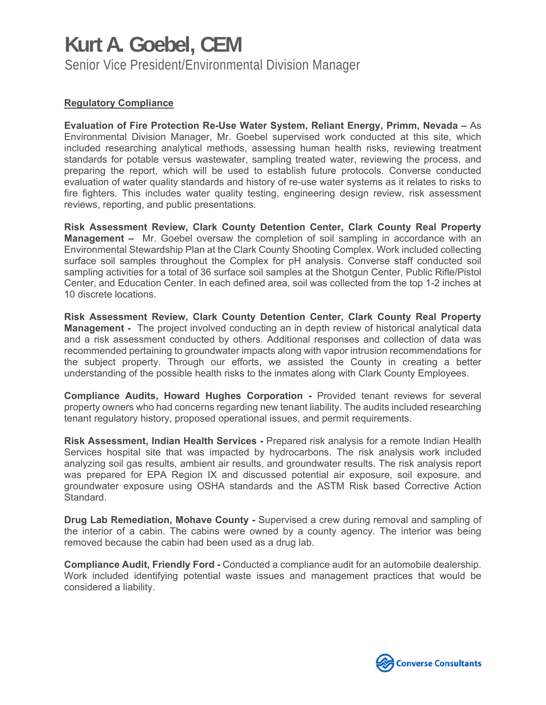### **Kurt A. Goebel, CEM**  Senior Vice President/Environmental Division Manager

#### **Regulatory Compliance**

**Evaluation of Fire Protection Re-Use Water System, Reliant Energy, Primm, Nevada –** As Environmental Division Manager, Mr. Goebel supervised work conducted at this site, which included researching analytical methods, assessing human health risks, reviewing treatment standards for potable versus wastewater, sampling treated water, reviewing the process, and preparing the report, which will be used to establish future protocols. Converse conducted evaluation of water quality standards and history of re-use water systems as it relates to risks to fire fighters. This includes water quality testing, engineering design review, risk assessment reviews, reporting, and public presentations.

**Risk Assessment Review, Clark County Detention Center, Clark County Real Property Management –** Mr. Goebel oversaw the completion of soil sampling in accordance with an Environmental Stewardship Plan at the Clark County Shooting Complex. Work included collecting surface soil samples throughout the Complex for pH analysis. Converse staff conducted soil sampling activities for a total of 36 surface soil samples at the Shotgun Center, Public Rifle/Pistol Center, and Education Center. In each defined area, soil was collected from the top 1-2 inches at 10 discrete locations.

**Risk Assessment Review, Clark County Detention Center, Clark County Real Property Management -** The project involved conducting an in depth review of historical analytical data and a risk assessment conducted by others. Additional responses and collection of data was recommended pertaining to groundwater impacts along with vapor intrusion recommendations for the subject property. Through our efforts, we assisted the County in creating a better understanding of the possible health risks to the inmates along with Clark County Employees.

**Compliance Audits, Howard Hughes Corporation -** Provided tenant reviews for several property owners who had concerns regarding new tenant liability. The audits included researching tenant regulatory history, proposed operational issues, and permit requirements.

**Risk Assessment, Indian Health Services -** Prepared risk analysis for a remote Indian Health Services hospital site that was impacted by hydrocarbons. The risk analysis work included analyzing soil gas results, ambient air results, and groundwater results. The risk analysis report was prepared for EPA Region IX and discussed potential air exposure, soil exposure, and groundwater exposure using OSHA standards and the ASTM Risk based Corrective Action Standard.

**Drug Lab Remediation, Mohave County -** Supervised a crew during removal and sampling of the interior of a cabin. The cabins were owned by a county agency. The interior was being removed because the cabin had been used as a drug lab.

**Compliance Audit, Friendly Ford -** Conducted a compliance audit for an automobile dealership. Work included identifying potential waste issues and management practices that would be considered a liability.

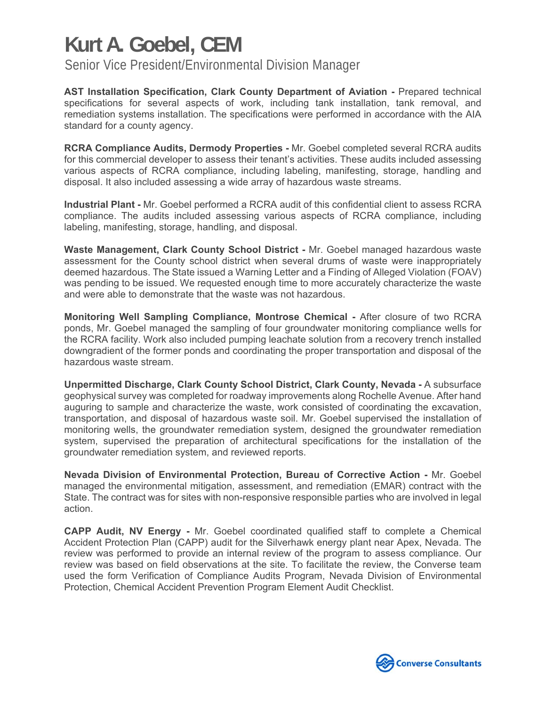Senior Vice President/Environmental Division Manager

**AST Installation Specification, Clark County Department of Aviation -** Prepared technical specifications for several aspects of work, including tank installation, tank removal, and remediation systems installation. The specifications were performed in accordance with the AIA standard for a county agency.

**RCRA Compliance Audits, Dermody Properties -** Mr. Goebel completed several RCRA audits for this commercial developer to assess their tenant's activities. These audits included assessing various aspects of RCRA compliance, including labeling, manifesting, storage, handling and disposal. It also included assessing a wide array of hazardous waste streams.

**Industrial Plant -** Mr. Goebel performed a RCRA audit of this confidential client to assess RCRA compliance. The audits included assessing various aspects of RCRA compliance, including labeling, manifesting, storage, handling, and disposal.

**Waste Management, Clark County School District -** Mr. Goebel managed hazardous waste assessment for the County school district when several drums of waste were inappropriately deemed hazardous. The State issued a Warning Letter and a Finding of Alleged Violation (FOAV) was pending to be issued. We requested enough time to more accurately characterize the waste and were able to demonstrate that the waste was not hazardous.

**Monitoring Well Sampling Compliance, Montrose Chemical -** After closure of two RCRA ponds, Mr. Goebel managed the sampling of four groundwater monitoring compliance wells for the RCRA facility. Work also included pumping leachate solution from a recovery trench installed downgradient of the former ponds and coordinating the proper transportation and disposal of the hazardous waste stream.

**Unpermitted Discharge, Clark County School District, Clark County, Nevada -** A subsurface geophysical survey was completed for roadway improvements along Rochelle Avenue. After hand auguring to sample and characterize the waste, work consisted of coordinating the excavation, transportation, and disposal of hazardous waste soil. Mr. Goebel supervised the installation of monitoring wells, the groundwater remediation system, designed the groundwater remediation system, supervised the preparation of architectural specifications for the installation of the groundwater remediation system, and reviewed reports.

**Nevada Division of Environmental Protection, Bureau of Corrective Action -** Mr. Goebel managed the environmental mitigation, assessment, and remediation (EMAR) contract with the State. The contract was for sites with non-responsive responsible parties who are involved in legal action.

**CAPP Audit, NV Energy -** Mr. Goebel coordinated qualified staff to complete a Chemical Accident Protection Plan (CAPP) audit for the Silverhawk energy plant near Apex, Nevada. The review was performed to provide an internal review of the program to assess compliance. Our review was based on field observations at the site. To facilitate the review, the Converse team used the form Verification of Compliance Audits Program, Nevada Division of Environmental Protection, Chemical Accident Prevention Program Element Audit Checklist.

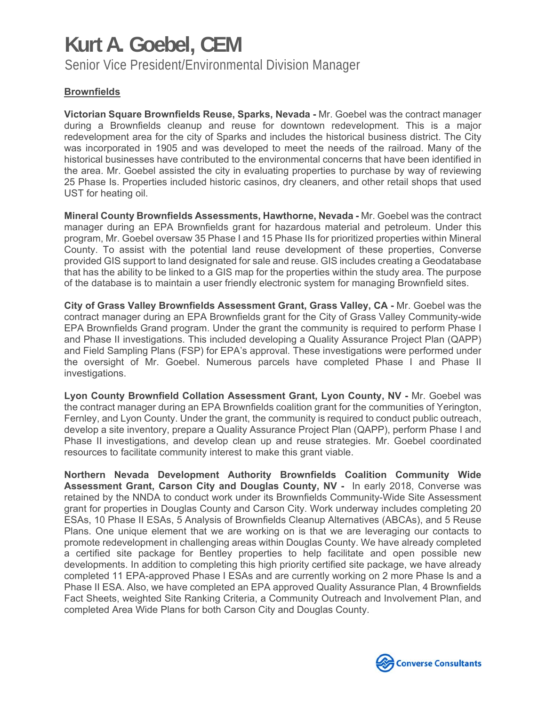Senior Vice President/Environmental Division Manager

### **Brownfields**

**Victorian Square Brownfields Reuse, Sparks, Nevada -** Mr. Goebel was the contract manager during a Brownfields cleanup and reuse for downtown redevelopment. This is a major redevelopment area for the city of Sparks and includes the historical business district. The City was incorporated in 1905 and was developed to meet the needs of the railroad. Many of the historical businesses have contributed to the environmental concerns that have been identified in the area. Mr. Goebel assisted the city in evaluating properties to purchase by way of reviewing 25 Phase Is. Properties included historic casinos, dry cleaners, and other retail shops that used UST for heating oil.

**Mineral County Brownfields Assessments, Hawthorne, Nevada -** Mr. Goebel was the contract manager during an EPA Brownfields grant for hazardous material and petroleum. Under this program, Mr. Goebel oversaw 35 Phase I and 15 Phase IIs for prioritized properties within Mineral County. To assist with the potential land reuse development of these properties, Converse provided GIS support to land designated for sale and reuse. GIS includes creating a Geodatabase that has the ability to be linked to a GIS map for the properties within the study area. The purpose of the database is to maintain a user friendly electronic system for managing Brownfield sites.

**City of Grass Valley Brownfields Assessment Grant, Grass Valley, CA -** Mr. Goebel was the contract manager during an EPA Brownfields grant for the City of Grass Valley Community-wide EPA Brownfields Grand program. Under the grant the community is required to perform Phase I and Phase II investigations. This included developing a Quality Assurance Project Plan (QAPP) and Field Sampling Plans (FSP) for EPA's approval. These investigations were performed under the oversight of Mr. Goebel. Numerous parcels have completed Phase I and Phase II investigations.

**Lyon County Brownfield Collation Assessment Grant, Lyon County, NV -** Mr. Goebel was the contract manager during an EPA Brownfields coalition grant for the communities of Yerington, Fernley, and Lyon County. Under the grant, the community is required to conduct public outreach, develop a site inventory, prepare a Quality Assurance Project Plan (QAPP), perform Phase I and Phase II investigations, and develop clean up and reuse strategies. Mr. Goebel coordinated resources to facilitate community interest to make this grant viable.

**Northern Nevada Development Authority Brownfields Coalition Community Wide Assessment Grant, Carson City and Douglas County, NV -** In early 2018, Converse was retained by the NNDA to conduct work under its Brownfields Community-Wide Site Assessment grant for properties in Douglas County and Carson City. Work underway includes completing 20 ESAs, 10 Phase II ESAs, 5 Analysis of Brownfields Cleanup Alternatives (ABCAs), and 5 Reuse Plans. One unique element that we are working on is that we are leveraging our contacts to promote redevelopment in challenging areas within Douglas County. We have already completed a certified site package for Bentley properties to help facilitate and open possible new developments. In addition to completing this high priority certified site package, we have already completed 11 EPA-approved Phase I ESAs and are currently working on 2 more Phase Is and a Phase II ESA. Also, we have completed an EPA approved Quality Assurance Plan, 4 Brownfields Fact Sheets, weighted Site Ranking Criteria, a Community Outreach and Involvement Plan, and completed Area Wide Plans for both Carson City and Douglas County.

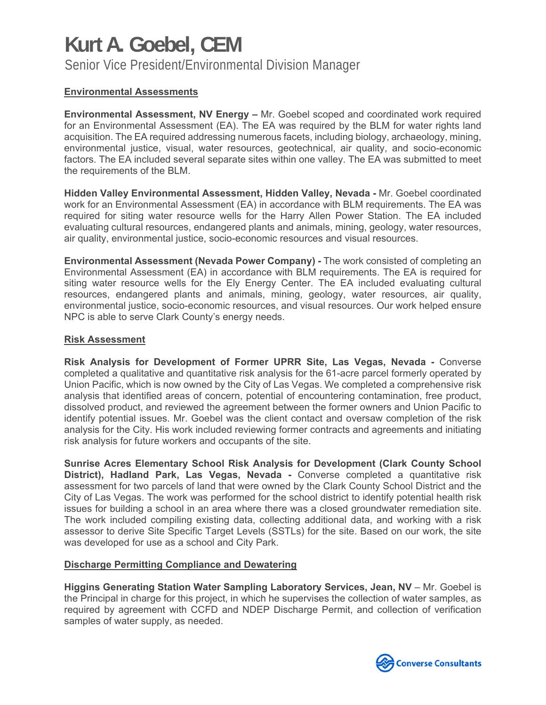Senior Vice President/Environmental Division Manager

### **Environmental Assessments**

**Environmental Assessment, NV Energy –** Mr. Goebel scoped and coordinated work required for an Environmental Assessment (EA). The EA was required by the BLM for water rights land acquisition. The EA required addressing numerous facets, including biology, archaeology, mining, environmental justice, visual, water resources, geotechnical, air quality, and socio-economic factors. The EA included several separate sites within one valley. The EA was submitted to meet the requirements of the BLM.

**Hidden Valley Environmental Assessment, Hidden Valley, Nevada -** Mr. Goebel coordinated work for an Environmental Assessment (EA) in accordance with BLM requirements. The EA was required for siting water resource wells for the Harry Allen Power Station. The EA included evaluating cultural resources, endangered plants and animals, mining, geology, water resources, air quality, environmental justice, socio-economic resources and visual resources.

**Environmental Assessment (Nevada Power Company) -** The work consisted of completing an Environmental Assessment (EA) in accordance with BLM requirements. The EA is required for siting water resource wells for the Ely Energy Center. The EA included evaluating cultural resources, endangered plants and animals, mining, geology, water resources, air quality, environmental justice, socio-economic resources, and visual resources. Our work helped ensure NPC is able to serve Clark County's energy needs.

### **Risk Assessment**

**Risk Analysis for Development of Former UPRR Site, Las Vegas, Nevada -** Converse completed a qualitative and quantitative risk analysis for the 61-acre parcel formerly operated by Union Pacific, which is now owned by the City of Las Vegas. We completed a comprehensive risk analysis that identified areas of concern, potential of encountering contamination, free product, dissolved product, and reviewed the agreement between the former owners and Union Pacific to identify potential issues. Mr. Goebel was the client contact and oversaw completion of the risk analysis for the City. His work included reviewing former contracts and agreements and initiating risk analysis for future workers and occupants of the site.

**Sunrise Acres Elementary School Risk Analysis for Development (Clark County School District), Hadland Park, Las Vegas, Nevada -** Converse completed a quantitative risk assessment for two parcels of land that were owned by the Clark County School District and the City of Las Vegas. The work was performed for the school district to identify potential health risk issues for building a school in an area where there was a closed groundwater remediation site. The work included compiling existing data, collecting additional data, and working with a risk assessor to derive Site Specific Target Levels (SSTLs) for the site. Based on our work, the site was developed for use as a school and City Park.

#### **Discharge Permitting Compliance and Dewatering**

**Higgins Generating Station Water Sampling Laboratory Services, Jean, NV** – Mr. Goebel is the Principal in charge for this project, in which he supervises the collection of water samples, as required by agreement with CCFD and NDEP Discharge Permit, and collection of verification samples of water supply, as needed.

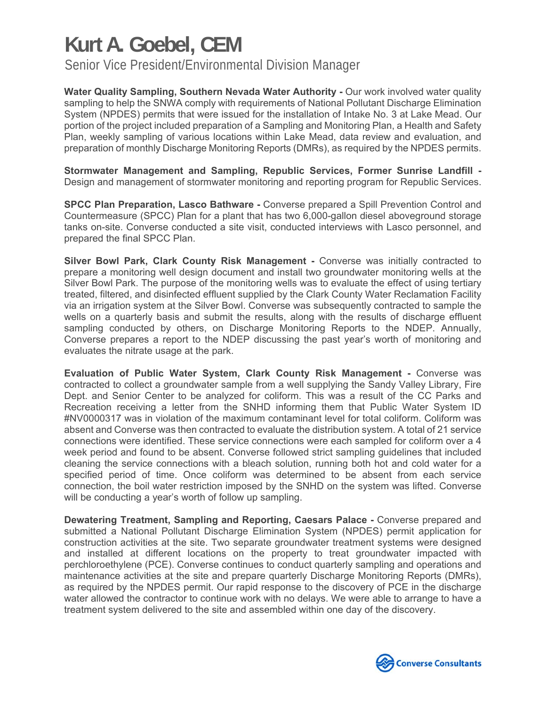Senior Vice President/Environmental Division Manager

**Water Quality Sampling, Southern Nevada Water Authority - Our work involved water quality** sampling to help the SNWA comply with requirements of National Pollutant Discharge Elimination System (NPDES) permits that were issued for the installation of Intake No. 3 at Lake Mead. Our portion of the project included preparation of a Sampling and Monitoring Plan, a Health and Safety Plan, weekly sampling of various locations within Lake Mead, data review and evaluation, and preparation of monthly Discharge Monitoring Reports (DMRs), as required by the NPDES permits.

**Stormwater Management and Sampling, Republic Services, Former Sunrise Landfill -**  Design and management of stormwater monitoring and reporting program for Republic Services.

**SPCC Plan Preparation, Lasco Bathware -** Converse prepared a Spill Prevention Control and Countermeasure (SPCC) Plan for a plant that has two 6,000-gallon diesel aboveground storage tanks on-site. Converse conducted a site visit, conducted interviews with Lasco personnel, and prepared the final SPCC Plan.

**Silver Bowl Park, Clark County Risk Management -** Converse was initially contracted to prepare a monitoring well design document and install two groundwater monitoring wells at the Silver Bowl Park. The purpose of the monitoring wells was to evaluate the effect of using tertiary treated, filtered, and disinfected effluent supplied by the Clark County Water Reclamation Facility via an irrigation system at the Silver Bowl. Converse was subsequently contracted to sample the wells on a quarterly basis and submit the results, along with the results of discharge effluent sampling conducted by others, on Discharge Monitoring Reports to the NDEP. Annually, Converse prepares a report to the NDEP discussing the past year's worth of monitoring and evaluates the nitrate usage at the park.

**Evaluation of Public Water System, Clark County Risk Management -** Converse was contracted to collect a groundwater sample from a well supplying the Sandy Valley Library, Fire Dept. and Senior Center to be analyzed for coliform. This was a result of the CC Parks and Recreation receiving a letter from the SNHD informing them that Public Water System ID #NV0000317 was in violation of the maximum contaminant level for total coliform. Coliform was absent and Converse was then contracted to evaluate the distribution system. A total of 21 service connections were identified. These service connections were each sampled for coliform over a 4 week period and found to be absent. Converse followed strict sampling guidelines that included cleaning the service connections with a bleach solution, running both hot and cold water for a specified period of time. Once coliform was determined to be absent from each service connection, the boil water restriction imposed by the SNHD on the system was lifted. Converse will be conducting a year's worth of follow up sampling.

**Dewatering Treatment, Sampling and Reporting, Caesars Palace -** Converse prepared and submitted a National Pollutant Discharge Elimination System (NPDES) permit application for construction activities at the site. Two separate groundwater treatment systems were designed and installed at different locations on the property to treat groundwater impacted with perchloroethylene (PCE). Converse continues to conduct quarterly sampling and operations and maintenance activities at the site and prepare quarterly Discharge Monitoring Reports (DMRs), as required by the NPDES permit. Our rapid response to the discovery of PCE in the discharge water allowed the contractor to continue work with no delays. We were able to arrange to have a treatment system delivered to the site and assembled within one day of the discovery.

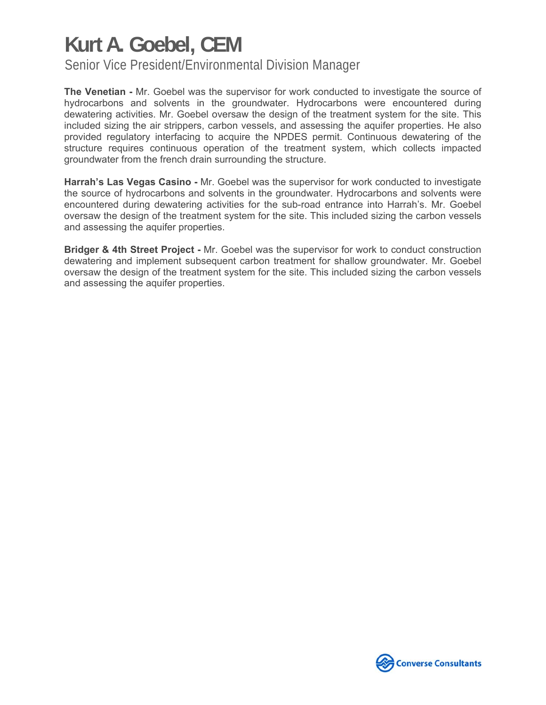Senior Vice President/Environmental Division Manager

**The Venetian -** Mr. Goebel was the supervisor for work conducted to investigate the source of hydrocarbons and solvents in the groundwater. Hydrocarbons were encountered during dewatering activities. Mr. Goebel oversaw the design of the treatment system for the site. This included sizing the air strippers, carbon vessels, and assessing the aquifer properties. He also provided regulatory interfacing to acquire the NPDES permit. Continuous dewatering of the structure requires continuous operation of the treatment system, which collects impacted groundwater from the french drain surrounding the structure.

**Harrah's Las Vegas Casino -** Mr. Goebel was the supervisor for work conducted to investigate the source of hydrocarbons and solvents in the groundwater. Hydrocarbons and solvents were encountered during dewatering activities for the sub-road entrance into Harrah's. Mr. Goebel oversaw the design of the treatment system for the site. This included sizing the carbon vessels and assessing the aquifer properties.

**Bridger & 4th Street Project -** Mr. Goebel was the supervisor for work to conduct construction dewatering and implement subsequent carbon treatment for shallow groundwater. Mr. Goebel oversaw the design of the treatment system for the site. This included sizing the carbon vessels and assessing the aquifer properties.

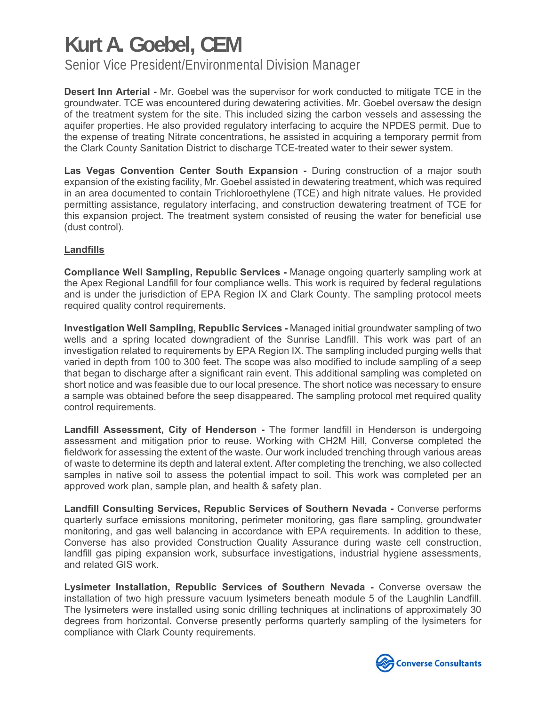Senior Vice President/Environmental Division Manager

**Desert Inn Arterial -** Mr. Goebel was the supervisor for work conducted to mitigate TCE in the groundwater. TCE was encountered during dewatering activities. Mr. Goebel oversaw the design of the treatment system for the site. This included sizing the carbon vessels and assessing the aquifer properties. He also provided regulatory interfacing to acquire the NPDES permit. Due to the expense of treating Nitrate concentrations, he assisted in acquiring a temporary permit from the Clark County Sanitation District to discharge TCE-treated water to their sewer system.

**Las Vegas Convention Center South Expansion - During construction of a major south** expansion of the existing facility, Mr. Goebel assisted in dewatering treatment, which was required in an area documented to contain Trichloroethylene (TCE) and high nitrate values. He provided permitting assistance, regulatory interfacing, and construction dewatering treatment of TCE for this expansion project. The treatment system consisted of reusing the water for beneficial use (dust control).

#### **Landfills**

**Compliance Well Sampling, Republic Services -** Manage ongoing quarterly sampling work at the Apex Regional Landfill for four compliance wells. This work is required by federal regulations and is under the jurisdiction of EPA Region IX and Clark County. The sampling protocol meets required quality control requirements.

**Investigation Well Sampling, Republic Services -** Managed initial groundwater sampling of two wells and a spring located downgradient of the Sunrise Landfill. This work was part of an investigation related to requirements by EPA Region IX. The sampling included purging wells that varied in depth from 100 to 300 feet. The scope was also modified to include sampling of a seep that began to discharge after a significant rain event. This additional sampling was completed on short notice and was feasible due to our local presence. The short notice was necessary to ensure a sample was obtained before the seep disappeared. The sampling protocol met required quality control requirements.

**Landfill Assessment, City of Henderson -** The former landfill in Henderson is undergoing assessment and mitigation prior to reuse. Working with CH2M Hill, Converse completed the fieldwork for assessing the extent of the waste. Our work included trenching through various areas of waste to determine its depth and lateral extent. After completing the trenching, we also collected samples in native soil to assess the potential impact to soil. This work was completed per an approved work plan, sample plan, and health & safety plan.

**Landfill Consulting Services, Republic Services of Southern Nevada -** Converse performs quarterly surface emissions monitoring, perimeter monitoring, gas flare sampling, groundwater monitoring, and gas well balancing in accordance with EPA requirements. In addition to these, Converse has also provided Construction Quality Assurance during waste cell construction, landfill gas piping expansion work, subsurface investigations, industrial hygiene assessments, and related GIS work.

**Lysimeter Installation, Republic Services of Southern Nevada -** Converse oversaw the installation of two high pressure vacuum lysimeters beneath module 5 of the Laughlin Landfill. The lysimeters were installed using sonic drilling techniques at inclinations of approximately 30 degrees from horizontal. Converse presently performs quarterly sampling of the lysimeters for compliance with Clark County requirements.

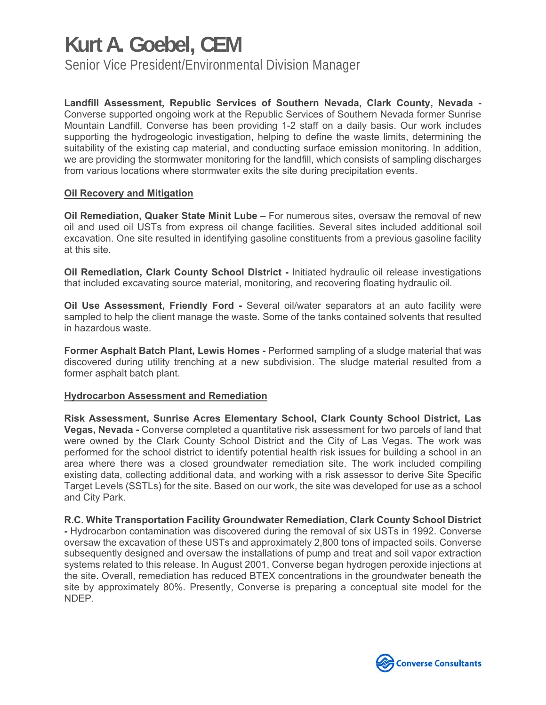Senior Vice President/Environmental Division Manager

**Landfill Assessment, Republic Services of Southern Nevada, Clark County, Nevada -**  Converse supported ongoing work at the Republic Services of Southern Nevada former Sunrise Mountain Landfill. Converse has been providing 1-2 staff on a daily basis. Our work includes supporting the hydrogeologic investigation, helping to define the waste limits, determining the suitability of the existing cap material, and conducting surface emission monitoring. In addition, we are providing the stormwater monitoring for the landfill, which consists of sampling discharges from various locations where stormwater exits the site during precipitation events.

#### **Oil Recovery and Mitigation**

**Oil Remediation, Quaker State Minit Lube –** For numerous sites, oversaw the removal of new oil and used oil USTs from express oil change facilities. Several sites included additional soil excavation. One site resulted in identifying gasoline constituents from a previous gasoline facility at this site.

**Oil Remediation, Clark County School District -** Initiated hydraulic oil release investigations that included excavating source material, monitoring, and recovering floating hydraulic oil.

**Oil Use Assessment, Friendly Ford -** Several oil/water separators at an auto facility were sampled to help the client manage the waste. Some of the tanks contained solvents that resulted in hazardous waste.

**Former Asphalt Batch Plant, Lewis Homes -** Performed sampling of a sludge material that was discovered during utility trenching at a new subdivision. The sludge material resulted from a former asphalt batch plant.

#### **Hydrocarbon Assessment and Remediation**

**Risk Assessment, Sunrise Acres Elementary School, Clark County School District, Las Vegas, Nevada -** Converse completed a quantitative risk assessment for two parcels of land that were owned by the Clark County School District and the City of Las Vegas. The work was performed for the school district to identify potential health risk issues for building a school in an area where there was a closed groundwater remediation site. The work included compiling existing data, collecting additional data, and working with a risk assessor to derive Site Specific Target Levels (SSTLs) for the site. Based on our work, the site was developed for use as a school and City Park.

**R.C. White Transportation Facility Groundwater Remediation, Clark County School District -** Hydrocarbon contamination was discovered during the removal of six USTs in 1992. Converse oversaw the excavation of these USTs and approximately 2,800 tons of impacted soils. Converse subsequently designed and oversaw the installations of pump and treat and soil vapor extraction systems related to this release. In August 2001, Converse began hydrogen peroxide injections at the site. Overall, remediation has reduced BTEX concentrations in the groundwater beneath the site by approximately 80%. Presently, Converse is preparing a conceptual site model for the NDEP.

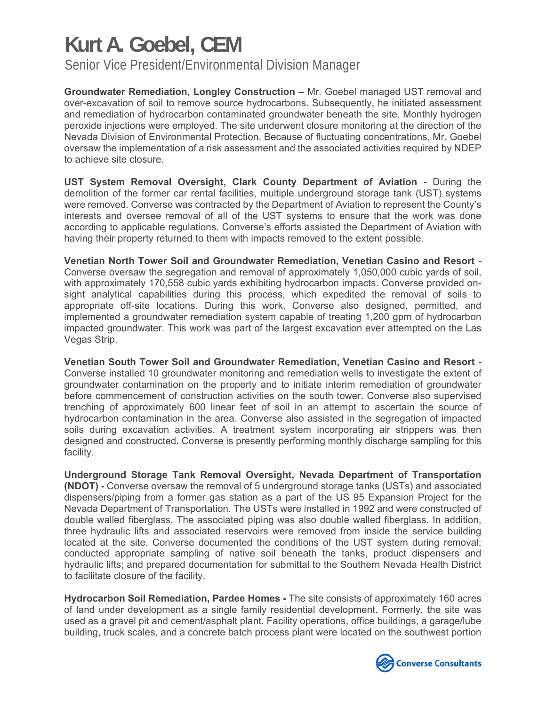Senior Vice President/Environmental Division Manager

**Groundwater Remediation, Longley Construction –** Mr. Goebel managed UST removal and over-excavation of soil to remove source hydrocarbons. Subsequently, he initiated assessment and remediation of hydrocarbon contaminated groundwater beneath the site. Monthly hydrogen peroxide injections were employed. The site underwent closure monitoring at the direction of the Nevada Division of Environmental Protection. Because of fluctuating concentrations, Mr. Goebel oversaw the implementation of a risk assessment and the associated activities required by NDEP to achieve site closure.

**UST System Removal Oversight, Clark County Department of Aviation -** During the demolition of the former car rental facilities, multiple underground storage tank (UST) systems were removed. Converse was contracted by the Department of Aviation to represent the County's interests and oversee removal of all of the UST systems to ensure that the work was done according to applicable regulations. Converse's efforts assisted the Department of Aviation with having their property returned to them with impacts removed to the extent possible.

**Venetian North Tower Soil and Groundwater Remediation, Venetian Casino and Resort -**  Converse oversaw the segregation and removal of approximately 1,050,000 cubic yards of soil, with approximately 170,558 cubic yards exhibiting hydrocarbon impacts. Converse provided onsight analytical capabilities during this process, which expedited the removal of soils to appropriate off-site locations. During this work, Converse also designed, permitted, and implemented a groundwater remediation system capable of treating 1,200 gpm of hydrocarbon impacted groundwater. This work was part of the largest excavation ever attempted on the Las Vegas Strip.

**Venetian South Tower Soil and Groundwater Remediation, Venetian Casino and Resort -**  Converse installed 10 groundwater monitoring and remediation wells to investigate the extent of groundwater contamination on the property and to initiate interim remediation of groundwater before commencement of construction activities on the south tower. Converse also supervised trenching of approximately 600 linear feet of soil in an attempt to ascertain the source of hydrocarbon contamination in the area. Converse also assisted in the segregation of impacted soils during excavation activities. A treatment system incorporating air strippers was then designed and constructed. Converse is presently performing monthly discharge sampling for this facility.

**Underground Storage Tank Removal Oversight, Nevada Department of Transportation (NDOT) -** Converse oversaw the removal of 5 underground storage tanks (USTs) and associated dispensers/piping from a former gas station as a part of the US 95 Expansion Project for the Nevada Department of Transportation. The USTs were installed in 1992 and were constructed of double walled fiberglass. The associated piping was also double walled fiberglass. In addition, three hydraulic lifts and associated reservoirs were removed from inside the service building located at the site. Converse documented the conditions of the UST system during removal; conducted appropriate sampling of native soil beneath the tanks, product dispensers and hydraulic lifts; and prepared documentation for submittal to the Southern Nevada Health District to facilitate closure of the facility.

**Hydrocarbon Soil Remediation, Pardee Homes -** The site consists of approximately 160 acres of land under development as a single family residential development. Formerly, the site was used as a gravel pit and cement/asphalt plant. Facility operations, office buildings, a garage/lube building, truck scales, and a concrete batch process plant were located on the southwest portion

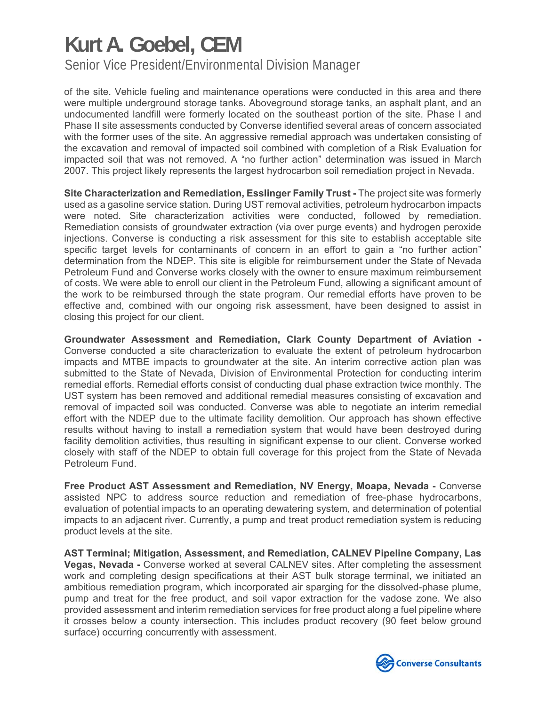Senior Vice President/Environmental Division Manager

of the site. Vehicle fueling and maintenance operations were conducted in this area and there were multiple underground storage tanks. Aboveground storage tanks, an asphalt plant, and an undocumented landfill were formerly located on the southeast portion of the site. Phase I and Phase II site assessments conducted by Converse identified several areas of concern associated with the former uses of the site. An aggressive remedial approach was undertaken consisting of the excavation and removal of impacted soil combined with completion of a Risk Evaluation for impacted soil that was not removed. A "no further action" determination was issued in March 2007. This project likely represents the largest hydrocarbon soil remediation project in Nevada.

**Site Characterization and Remediation, Esslinger Family Trust -** The project site was formerly used as a gasoline service station. During UST removal activities, petroleum hydrocarbon impacts were noted. Site characterization activities were conducted, followed by remediation. Remediation consists of groundwater extraction (via over purge events) and hydrogen peroxide injections. Converse is conducting a risk assessment for this site to establish acceptable site specific target levels for contaminants of concern in an effort to gain a "no further action" determination from the NDEP. This site is eligible for reimbursement under the State of Nevada Petroleum Fund and Converse works closely with the owner to ensure maximum reimbursement of costs. We were able to enroll our client in the Petroleum Fund, allowing a significant amount of the work to be reimbursed through the state program. Our remedial efforts have proven to be effective and, combined with our ongoing risk assessment, have been designed to assist in closing this project for our client.

**Groundwater Assessment and Remediation, Clark County Department of Aviation -**  Converse conducted a site characterization to evaluate the extent of petroleum hydrocarbon impacts and MTBE impacts to groundwater at the site. An interim corrective action plan was submitted to the State of Nevada, Division of Environmental Protection for conducting interim remedial efforts. Remedial efforts consist of conducting dual phase extraction twice monthly. The UST system has been removed and additional remedial measures consisting of excavation and removal of impacted soil was conducted. Converse was able to negotiate an interim remedial effort with the NDEP due to the ultimate facility demolition. Our approach has shown effective results without having to install a remediation system that would have been destroyed during facility demolition activities, thus resulting in significant expense to our client. Converse worked closely with staff of the NDEP to obtain full coverage for this project from the State of Nevada Petroleum Fund.

**Free Product AST Assessment and Remediation, NV Energy, Moapa, Nevada -** Converse assisted NPC to address source reduction and remediation of free-phase hydrocarbons, evaluation of potential impacts to an operating dewatering system, and determination of potential impacts to an adjacent river. Currently, a pump and treat product remediation system is reducing product levels at the site.

**AST Terminal; Mitigation, Assessment, and Remediation, CALNEV Pipeline Company, Las Vegas, Nevada -** Converse worked at several CALNEV sites. After completing the assessment work and completing design specifications at their AST bulk storage terminal, we initiated an ambitious remediation program, which incorporated air sparging for the dissolved-phase plume, pump and treat for the free product, and soil vapor extraction for the vadose zone. We also provided assessment and interim remediation services for free product along a fuel pipeline where it crosses below a county intersection. This includes product recovery (90 feet below ground surface) occurring concurrently with assessment.